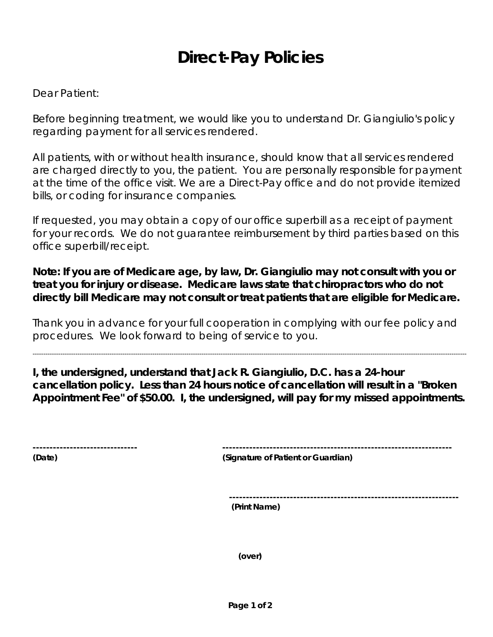## **Direct-Pay Policies**

## Dear Patient:

Before beginning treatment, we would like you to understand Dr. Giangiulio's policy regarding payment for all services rendered.

All patients, with or without health insurance, should know that all services rendered are charged directly to you, the patient. You are personally responsible for payment at the time of the office visit. We are a Direct-Pay office and do not provide itemized bills, or coding for insurance companies.

If requested, you may obtain a copy of our office superbill as a receipt of payment for your records. We do not guarantee reimbursement by third parties based on this office superbill/receipt.

**Note: If you are of Medicare age, by law, Dr. Giangiulio may not consult with you or treat you for injury or disease. Medicare laws state that chiropractors who do not directly bill Medicare may not consult or treat patients that are eligible for Medicare.** 

Thank you in advance for your full cooperation in complying with our fee policy and procedures. We look forward to being of service to you.

**I, the undersigned, understand that Jack R. Giangiulio, D.C. has a 24-hour cancellation policy. Less than 24 hours notice of cancellation will result in a "Broken Appointment Fee" of \$50.00. I, the undersigned, will pay for my missed appointments.** 

-----------------------------------------------------------------------------------------------------------------------------------------------------------------------------------------------------------

| ------------------------------- |                          |     |  |  |  |
|---------------------------------|--------------------------|-----|--|--|--|
| $\overline{\phantom{a}}$        | $\overline{\phantom{a}}$ | . . |  |  |  |

**(Date) (Signature of Patient or Guardian)** 

 **--------------------------------------------------------------------** 

 **(Print Name)** 

**(over)**